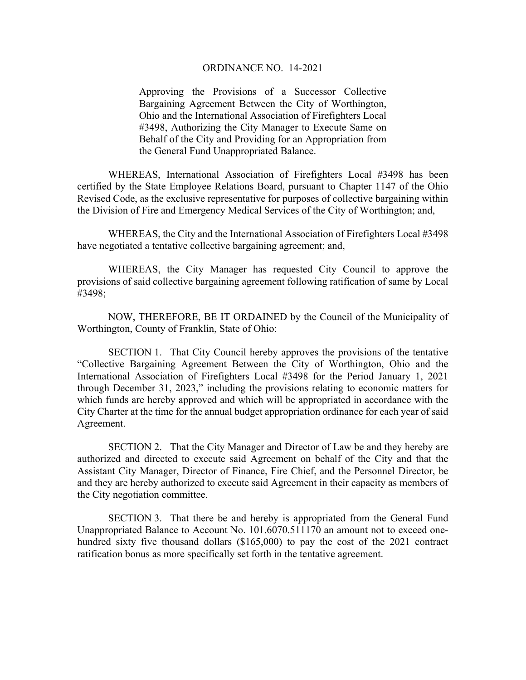## ORDINANCE NO. 14-2021

Approving the Provisions of a Successor Collective Bargaining Agreement Between the City of Worthington, Ohio and the International Association of Firefighters Local #3498, Authorizing the City Manager to Execute Same on Behalf of the City and Providing for an Appropriation from the General Fund Unappropriated Balance.

WHEREAS, International Association of Firefighters Local #3498 has been certified by the State Employee Relations Board, pursuant to Chapter 1147 of the Ohio Revised Code, as the exclusive representative for purposes of collective bargaining within the Division of Fire and Emergency Medical Services of the City of Worthington; and,

WHEREAS, the City and the International Association of Firefighters Local #3498 have negotiated a tentative collective bargaining agreement; and,

WHEREAS, the City Manager has requested City Council to approve the provisions of said collective bargaining agreement following ratification of same by Local #3498;

NOW, THEREFORE, BE IT ORDAINED by the Council of the Municipality of Worthington, County of Franklin, State of Ohio:

SECTION 1. That City Council hereby approves the provisions of the tentative "Collective Bargaining Agreement Between the City of Worthington, Ohio and the International Association of Firefighters Local #3498 for the Period January 1, 2021 through December 31, 2023," including the provisions relating to economic matters for which funds are hereby approved and which will be appropriated in accordance with the City Charter at the time for the annual budget appropriation ordinance for each year of said Agreement.

SECTION 2. That the City Manager and Director of Law be and they hereby are authorized and directed to execute said Agreement on behalf of the City and that the Assistant City Manager, Director of Finance, Fire Chief, and the Personnel Director, be and they are hereby authorized to execute said Agreement in their capacity as members of the City negotiation committee.

SECTION 3. That there be and hereby is appropriated from the General Fund Unappropriated Balance to Account No. 101.6070.511170 an amount not to exceed onehundred sixty five thousand dollars (\$165,000) to pay the cost of the 2021 contract ratification bonus as more specifically set forth in the tentative agreement.